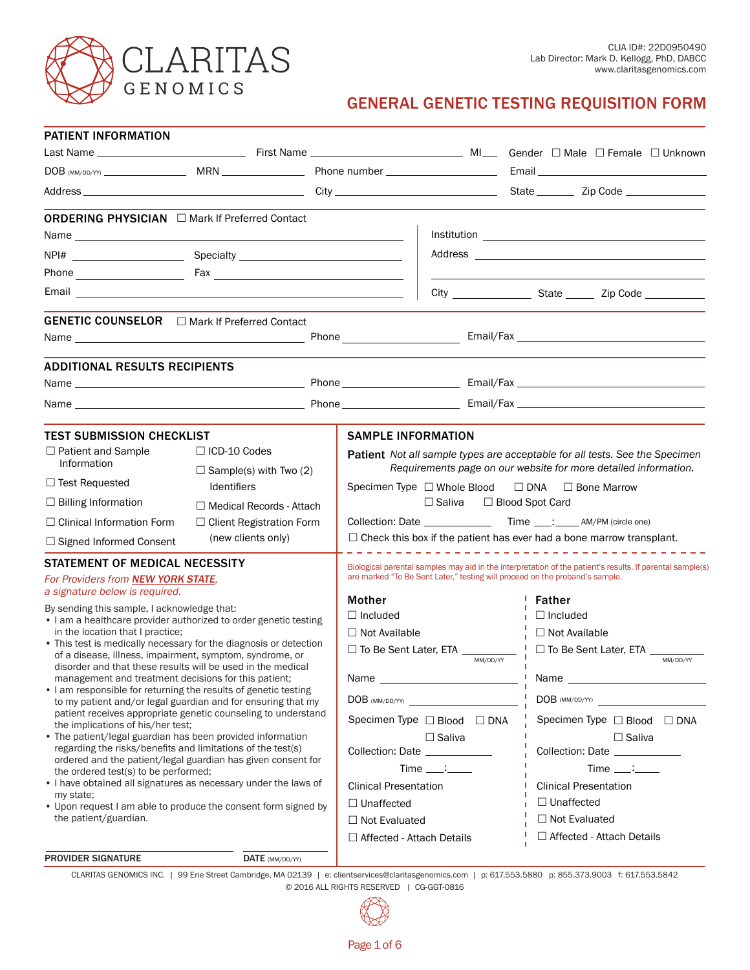

# GENERAL GENETIC TESTING REQUISITION FORM

| <b>PATIENT INFORMATION</b>                                                                                                                                                                                                                                                                                                                                                                                                                                                                                                                                                                                            |                                                      |  |                                                                                                                                                                                                                                                          |                                                    |                                                                                                             |  |
|-----------------------------------------------------------------------------------------------------------------------------------------------------------------------------------------------------------------------------------------------------------------------------------------------------------------------------------------------------------------------------------------------------------------------------------------------------------------------------------------------------------------------------------------------------------------------------------------------------------------------|------------------------------------------------------|--|----------------------------------------------------------------------------------------------------------------------------------------------------------------------------------------------------------------------------------------------------------|----------------------------------------------------|-------------------------------------------------------------------------------------------------------------|--|
|                                                                                                                                                                                                                                                                                                                                                                                                                                                                                                                                                                                                                       |                                                      |  |                                                                                                                                                                                                                                                          |                                                    |                                                                                                             |  |
|                                                                                                                                                                                                                                                                                                                                                                                                                                                                                                                                                                                                                       |                                                      |  |                                                                                                                                                                                                                                                          |                                                    |                                                                                                             |  |
|                                                                                                                                                                                                                                                                                                                                                                                                                                                                                                                                                                                                                       |                                                      |  |                                                                                                                                                                                                                                                          |                                                    |                                                                                                             |  |
| <b>ORDERING PHYSICIAN</b> □ Mark If Preferred Contact                                                                                                                                                                                                                                                                                                                                                                                                                                                                                                                                                                 |                                                      |  |                                                                                                                                                                                                                                                          |                                                    |                                                                                                             |  |
|                                                                                                                                                                                                                                                                                                                                                                                                                                                                                                                                                                                                                       |                                                      |  |                                                                                                                                                                                                                                                          |                                                    |                                                                                                             |  |
|                                                                                                                                                                                                                                                                                                                                                                                                                                                                                                                                                                                                                       |                                                      |  |                                                                                                                                                                                                                                                          |                                                    |                                                                                                             |  |
|                                                                                                                                                                                                                                                                                                                                                                                                                                                                                                                                                                                                                       |                                                      |  |                                                                                                                                                                                                                                                          |                                                    |                                                                                                             |  |
|                                                                                                                                                                                                                                                                                                                                                                                                                                                                                                                                                                                                                       |                                                      |  |                                                                                                                                                                                                                                                          |                                                    |                                                                                                             |  |
| GENETIC COUNSELOR <sub>[Mark</sub> If Preferred Contact                                                                                                                                                                                                                                                                                                                                                                                                                                                                                                                                                               |                                                      |  |                                                                                                                                                                                                                                                          |                                                    |                                                                                                             |  |
|                                                                                                                                                                                                                                                                                                                                                                                                                                                                                                                                                                                                                       |                                                      |  |                                                                                                                                                                                                                                                          |                                                    |                                                                                                             |  |
| <b>ADDITIONAL RESULTS RECIPIENTS</b>                                                                                                                                                                                                                                                                                                                                                                                                                                                                                                                                                                                  |                                                      |  |                                                                                                                                                                                                                                                          |                                                    |                                                                                                             |  |
|                                                                                                                                                                                                                                                                                                                                                                                                                                                                                                                                                                                                                       |                                                      |  |                                                                                                                                                                                                                                                          |                                                    |                                                                                                             |  |
|                                                                                                                                                                                                                                                                                                                                                                                                                                                                                                                                                                                                                       |                                                      |  |                                                                                                                                                                                                                                                          |                                                    |                                                                                                             |  |
| <b>TEST SUBMISSION CHECKLIST</b>                                                                                                                                                                                                                                                                                                                                                                                                                                                                                                                                                                                      |                                                      |  | <b>SAMPLE INFORMATION</b>                                                                                                                                                                                                                                |                                                    |                                                                                                             |  |
| $\Box$ Patient and Sample<br>Information                                                                                                                                                                                                                                                                                                                                                                                                                                                                                                                                                                              | $\Box$ ICD-10 Codes<br>$\Box$ Sample(s) with Two (2) |  | <b>Patient</b> Not all sample types are acceptable for all tests. See the Specimen<br>Requirements page on our website for more detailed information.<br>Specimen Type $\Box$ Whole Blood<br>$\Box$ DNA $\Box$ Bone Marrow<br>□ Saliva □ Blood Spot Card |                                                    |                                                                                                             |  |
| $\Box$ Test Requested                                                                                                                                                                                                                                                                                                                                                                                                                                                                                                                                                                                                 | <b>Identifiers</b>                                   |  |                                                                                                                                                                                                                                                          |                                                    |                                                                                                             |  |
| $\Box$ Billing Information                                                                                                                                                                                                                                                                                                                                                                                                                                                                                                                                                                                            | $\Box$ Medical Records - Attach                      |  |                                                                                                                                                                                                                                                          |                                                    |                                                                                                             |  |
| $\Box$ Clinical Information Form                                                                                                                                                                                                                                                                                                                                                                                                                                                                                                                                                                                      | $\Box$ Client Registration Form                      |  |                                                                                                                                                                                                                                                          |                                                    |                                                                                                             |  |
| $\Box$ Signed Informed Consent                                                                                                                                                                                                                                                                                                                                                                                                                                                                                                                                                                                        | (new clients only)                                   |  |                                                                                                                                                                                                                                                          |                                                    | $\Box$ Check this box if the patient has ever had a bone marrow transplant.<br>____________________________ |  |
| STATEMENT OF MEDICAL NECESSITY                                                                                                                                                                                                                                                                                                                                                                                                                                                                                                                                                                                        |                                                      |  |                                                                                                                                                                                                                                                          |                                                    | Biological parental samples may aid in the interpretation of the patient's results. If parental sample(s)   |  |
| For Providers from NEW YORK STATE,<br>a signature below is required.                                                                                                                                                                                                                                                                                                                                                                                                                                                                                                                                                  |                                                      |  |                                                                                                                                                                                                                                                          |                                                    | are marked "To Be Sent Later," testing will proceed on the proband's sample.                                |  |
| By sending this sample, I acknowledge that:                                                                                                                                                                                                                                                                                                                                                                                                                                                                                                                                                                           |                                                      |  | Mother                                                                                                                                                                                                                                                   |                                                    | ' Father                                                                                                    |  |
| • I am a healthcare provider authorized to order genetic testing                                                                                                                                                                                                                                                                                                                                                                                                                                                                                                                                                      |                                                      |  | $\Box$ Included                                                                                                                                                                                                                                          |                                                    | $\frac{1}{1}$ $\Box$ Included                                                                               |  |
| in the location that I practice;<br>• This test is medically necessary for the diagnosis or detection                                                                                                                                                                                                                                                                                                                                                                                                                                                                                                                 |                                                      |  | $\Box$ Not Available                                                                                                                                                                                                                                     |                                                    | □ Not Available                                                                                             |  |
| of a disease, illness, impairment, symptom, syndrome, or<br>disorder and that these results will be used in the medical<br>management and treatment decisions for this patient;<br>• I am responsible for returning the results of genetic testing<br>to my patient and/or legal guardian and for ensuring that my<br>patient receives appropriate genetic counseling to understand<br>the implications of his/her test:<br>• The patient/legal guardian has been provided information<br>regarding the risks/benefits and limitations of the test(s)<br>ordered and the patient/legal guardian has given consent for |                                                      |  |                                                                                                                                                                                                                                                          | □ To Be Sent Later, ETA _________<br>MM/DD/YY      | $\frac{1}{1}$ $\Box$ To Be Sent Later, ETA $\Box$<br>MM/DD/YY                                               |  |
|                                                                                                                                                                                                                                                                                                                                                                                                                                                                                                                                                                                                                       |                                                      |  | Name _                                                                                                                                                                                                                                                   | <u> 1980 - Johann Barn, amerikansk politiker (</u> | I Name __                                                                                                   |  |
|                                                                                                                                                                                                                                                                                                                                                                                                                                                                                                                                                                                                                       |                                                      |  |                                                                                                                                                                                                                                                          | $DOB$ (MM/DD/YY) $\qquad \qquad$                   | $DOB$ (MM/DD/YY) $\qquad \qquad$                                                                            |  |
|                                                                                                                                                                                                                                                                                                                                                                                                                                                                                                                                                                                                                       |                                                      |  |                                                                                                                                                                                                                                                          | Specimen Type $\Box$ Blood $\Box$ DNA              | Specimen Type □ Blood □ DNA                                                                                 |  |
|                                                                                                                                                                                                                                                                                                                                                                                                                                                                                                                                                                                                                       |                                                      |  |                                                                                                                                                                                                                                                          | $\Box$ Saliva                                      | $\Box$ Saliva                                                                                               |  |
|                                                                                                                                                                                                                                                                                                                                                                                                                                                                                                                                                                                                                       |                                                      |  | Collection: Date _____________                                                                                                                                                                                                                           |                                                    | Collection: Date ____________                                                                               |  |
| the ordered test(s) to be performed;                                                                                                                                                                                                                                                                                                                                                                                                                                                                                                                                                                                  |                                                      |  |                                                                                                                                                                                                                                                          | $Time \_\_\_\_\_\$                                 | $Time \_\_\_\_\_\$                                                                                          |  |
| • I have obtained all signatures as necessary under the laws of<br>my state;                                                                                                                                                                                                                                                                                                                                                                                                                                                                                                                                          |                                                      |  | <b>Clinical Presentation</b>                                                                                                                                                                                                                             |                                                    | <b>Clinical Presentation</b>                                                                                |  |
| • Upon request I am able to produce the consent form signed by                                                                                                                                                                                                                                                                                                                                                                                                                                                                                                                                                        |                                                      |  | $\Box$ Unaffected                                                                                                                                                                                                                                        |                                                    | $\Box$ Unaffected                                                                                           |  |
| the patient/guardian.                                                                                                                                                                                                                                                                                                                                                                                                                                                                                                                                                                                                 |                                                      |  | $\Box$ Not Evaluated                                                                                                                                                                                                                                     |                                                    | $\Box$ Not Evaluated                                                                                        |  |
|                                                                                                                                                                                                                                                                                                                                                                                                                                                                                                                                                                                                                       |                                                      |  | $\Box$ Affected - Attach Details                                                                                                                                                                                                                         |                                                    | □ Affected - Attach Details                                                                                 |  |
| <b>PROVIDER SIGNATURE</b>                                                                                                                                                                                                                                                                                                                                                                                                                                                                                                                                                                                             | $\textbf{DATE}$ (MM/DD/YY)                           |  |                                                                                                                                                                                                                                                          |                                                    |                                                                                                             |  |

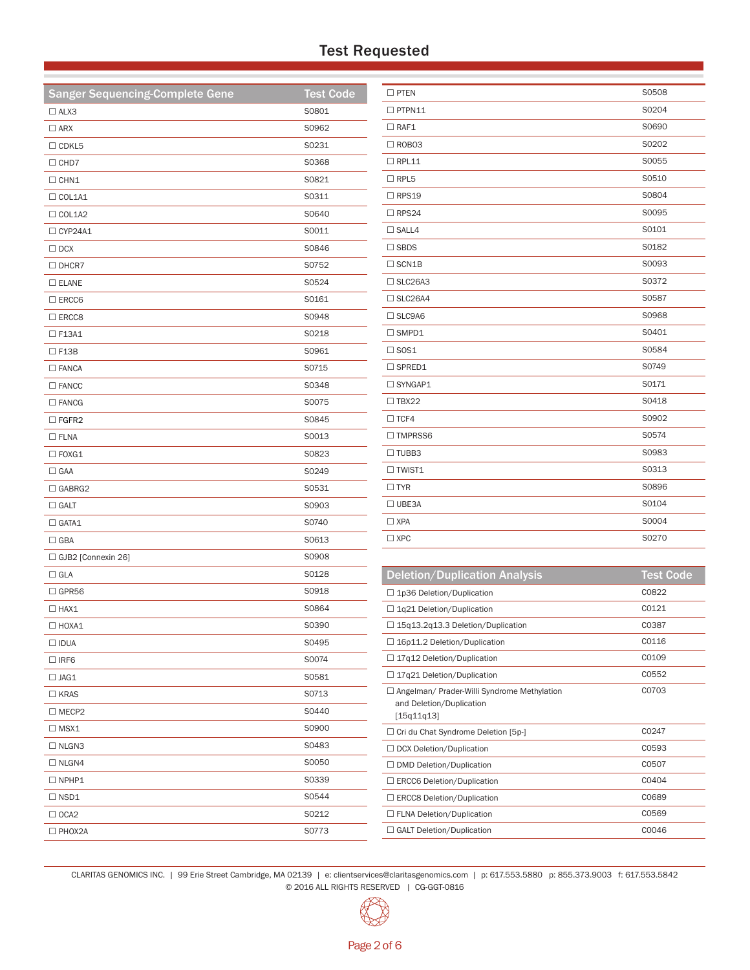# Test Requested

| <b>Sanger Sequencing-Complete Gene</b> | <b>Test Code</b> |
|----------------------------------------|------------------|
| $\Box$ ALX3                            | S0801            |
| $\square$ ARX                          | S0962            |
| $\Box$ CDKL5                           | S0231            |
| $\Box$ CHD7                            | S0368            |
| $\Box$ CHN1                            | S0821            |
| $\Box$ COL1A1                          | S0311            |
| $\Box$ COL1A2                          | S0640            |
| □ CYP24A1                              | S0011            |
| $\Box$ DCX                             | S0846            |
| $\Box$ DHCR7                           | S0752            |
| $\square$ ELANE                        | S0524            |
| $\square$ ERCC6                        | S0161            |
| $\square$ ERCC8                        | S0948            |
| $\square$ F13A1                        | S0218            |
| $\Box$ F13B                            | S0961            |
| $\square$ FANCA                        | S0715            |
| $\square$ FANCC                        | S0348            |
| $\square$ FANCG                        | S0075            |
| $\Box$ FGFR2                           | S0845            |
| $\square$ FLNA                         | S0013            |
| $\square$ FOXG1                        | S0823            |
| $\Box$ GAA                             | S0249            |
| $\Box$ GABRG2                          | S0531            |
| $\square$ GALT                         | S0903            |
| $\Box$ GATA1                           | S0740            |
| $\Box$ GBA                             | S0613            |
| □ GJB2 [Connexin 26]                   | S0908            |
| $\Box$ GLA                             | S0128            |
| $\Box$ GPR56                           | S0918            |
| $\Box$ HAX1                            | S0864            |
| $\Box$ HOXA1                           | S0390            |
| $\Box$ IDUA                            | S0495            |
| $\Box$ IRF6                            | S0074            |
| $\Box$ JAG1                            | S0581            |
| $\Box$ KRAS                            | S0713            |
| $\Box$ MECP2                           | S0440            |
| $\Box$ MSX1                            | S0900            |
| $\Box$ NLGN3                           | S0483            |
| $\Box$ NLGN4                           | S0050            |
| $\Box$ NPHP1                           | S0339            |
| $\Box$ NSD1                            | S0544            |
| $\Box$ OCA2                            | S0212            |
| $\square$ PHOX2A                       | S0773            |

| $\square$ PTEN   | S0508 |
|------------------|-------|
| $\square$ PTPN11 | S0204 |
| $\Box$ RAF1      | S0690 |
| $\Box$ ROBO3     | S0202 |
| $\Box$ RPL11     | S0055 |
| $\Box$ RPL5      | S0510 |
| $\Box$ RPS19     | S0804 |
| $\Box$ RPS24     | S0095 |
| $\square$ SALL4  | S0101 |
| $\Box$ SBDS      | S0182 |
| $\Box$ SCN1B     | S0093 |
| $\Box$ SLC26A3   | S0372 |
| $\Box$ SLC26A4   | S0587 |
| $\Box$ SLC9A6    | S0968 |
| $\square$ SMPD1  | S0401 |
| $\square$ SOS1   | S0584 |
| $\Box$ SPRED1    | S0749 |
| □ SYNGAP1        | S0171 |
| $\Box$ TBX22     | S0418 |
| $\Box$ TCF4      | S0902 |
| □ TMPRSS6        | S0574 |
| $\square$ TUBB3  | S0983 |
| $\Box$ TWIST1    | S0313 |
| $\Box$ TYR       | S0896 |
| $\Box$ UBE3A     | S0104 |
| $\Box$ XPA       | S0004 |
| $\Box$ XPC       | S0270 |
|                  |       |

| <b>Deletion/Duplication Analysis</b>                                                    | <b>Test Code</b> |
|-----------------------------------------------------------------------------------------|------------------|
| □ 1p36 Deletion/Duplication                                                             | C0822            |
| $\Box$ 1q21 Deletion/Duplication                                                        | C0121            |
| $\Box$ 15q13.2q13.3 Deletion/Duplication                                                | C0387            |
| $\Box$ 16p11.2 Deletion/Duplication                                                     | C0116            |
| $\Box$ 17g12 Deletion/Duplication                                                       | C0109            |
| $\Box$ 17q21 Deletion/Duplication                                                       | C0552            |
| □ Angelman/ Prader-Willi Syndrome Methylation<br>and Deletion/Duplication<br>[15q11q13] | C0703            |
| $\Box$ Cri du Chat Syndrome Deletion [5p-]                                              | C0247            |
| □ DCX Deletion/Duplication                                                              | C0593            |
| $\Box$ DMD Deletion/Duplication                                                         | C0507            |
| $\Box$ ERCC6 Deletion/Duplication                                                       | C0404            |
| $\Box$ ERCC8 Deletion/Duplication                                                       | C0689            |
| □ FLNA Deletion/Duplication                                                             | C0569            |
| $\Box$ GALT Deletion/Duplication                                                        | C0046            |

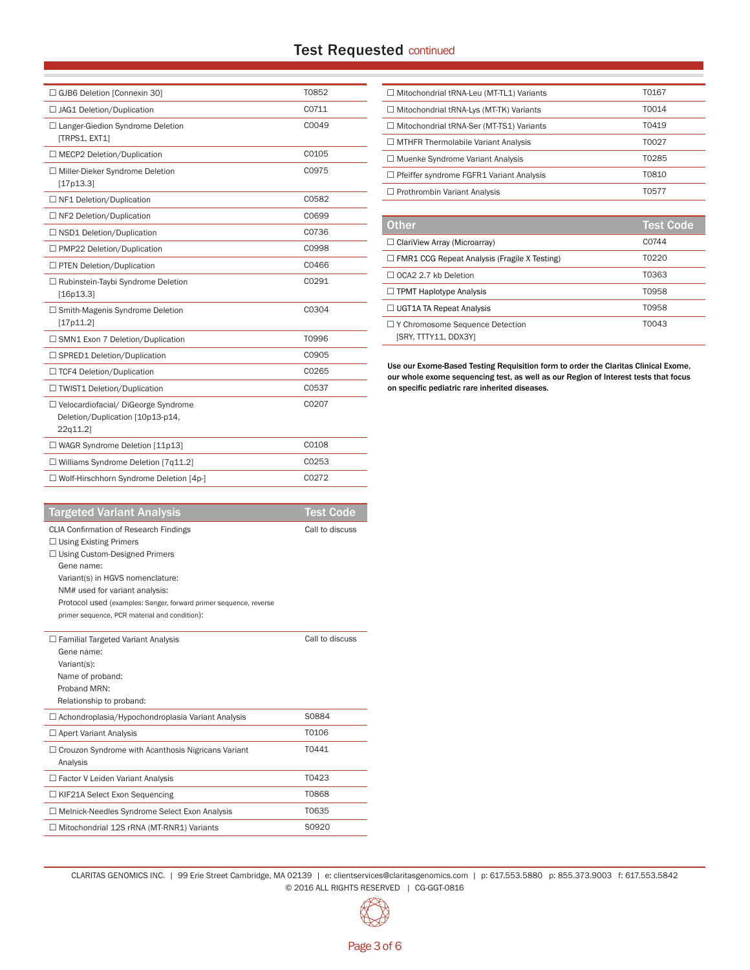# Test Requested continued

| □ GJB6 Deletion [Connexin 30]                                                         | T0852 |
|---------------------------------------------------------------------------------------|-------|
| □ JAG1 Deletion/Duplication                                                           | C0711 |
| □ Langer-Giedion Syndrome Deletion<br>[TRPS1, EXT1]                                   | C0049 |
| $\Box$ MECP2 Deletion/Duplication                                                     | C0105 |
| □ Miller-Dieker Syndrome Deletion<br>[17p13.3]                                        | C0975 |
| $\Box$ NF1 Deletion/Duplication                                                       | C0582 |
| □ NF2 Deletion/Duplication                                                            | C0699 |
| $\Box$ NSD1 Deletion/Duplication                                                      | C0736 |
| □ PMP22 Deletion/Duplication                                                          | C0998 |
| □ PTEN Deletion/Duplication                                                           | C0466 |
| □ Rubinstein-Taybi Syndrome Deletion<br>[16p13.3]                                     | C0291 |
| $\Box$ Smith-Magenis Syndrome Deletion<br>[17p11.2]                                   | C0304 |
| □ SMN1 Exon 7 Deletion/Duplication                                                    | T0996 |
| □ SPRED1 Deletion/Duplication                                                         | C0905 |
| □ TCF4 Deletion/Duplication                                                           | C0265 |
| □ TWIST1 Deletion/Duplication                                                         | C0537 |
| □ Velocardiofacial/ DiGeorge Syndrome<br>Deletion/Duplication [10p13-p14,<br>22q11.2] | C0207 |
| □ WAGR Syndrome Deletion [11p13]                                                      | C0108 |
| $\Box$ Williams Syndrome Deletion [7q11.2]                                            | C0253 |
| □ Wolf-Hirschhorn Syndrome Deletion [4p-]                                             | C0272 |
|                                                                                       |       |

| <b>Targeted Variant Analysis</b>                                                                                                                                                                                                                                                                                                 | <b>Test Code</b> |
|----------------------------------------------------------------------------------------------------------------------------------------------------------------------------------------------------------------------------------------------------------------------------------------------------------------------------------|------------------|
| <b>CLIA Confirmation of Research Findings</b><br>$\Box$ Using Existing Primers<br>$\Box$ Using Custom-Designed Primers<br>Gene name:<br>Variant(s) in HGVS nomenclature:<br>NM# used for variant analysis:<br>Protocol used (examples: Sanger, forward primer sequence, reverse<br>primer sequence, PCR material and condition): | Call to discuss  |
| $\Box$ Familial Targeted Variant Analysis<br>Gene name:<br>Variant(s):<br>Name of proband:<br>Proband MRN <sup>.</sup><br>Relationship to proband:                                                                                                                                                                               | Call to discuss  |
| $\Box$ Achondroplasia/Hypochondroplasia Variant Analysis                                                                                                                                                                                                                                                                         | S0884            |
| $\Box$ Apert Variant Analysis                                                                                                                                                                                                                                                                                                    | T0106            |
| $\Box$ Crouzon Syndrome with Acanthosis Nigricans Variant<br>Analysis                                                                                                                                                                                                                                                            | T0441            |
| $\Box$ Factor V Leiden Variant Analysis                                                                                                                                                                                                                                                                                          | T0423            |
| $\Box$ KIF21A Select Exon Sequencing                                                                                                                                                                                                                                                                                             | <b>T0868</b>     |
| □ Melnick-Needles Syndrome Select Exon Analysis                                                                                                                                                                                                                                                                                  | T0635            |
| $\Box$ Mitochondrial 12S rRNA (MT-RNR1) Variants                                                                                                                                                                                                                                                                                 | S0920            |
|                                                                                                                                                                                                                                                                                                                                  |                  |

| $\Box$ Mitochondrial tRNA-Leu (MT-TL1) Variants | T0167 |
|-------------------------------------------------|-------|
| $\Box$ Mitochondrial tRNA-Lys (MT-TK) Variants  | T0014 |
| □ Mitochondrial tRNA-Ser (MT-TS1) Variants      | T0419 |
| $\Box$ MTHFR Thermolabile Variant Analysis      | T0027 |
| $\Box$ Muenke Syndrome Variant Analysis         | T0285 |
| $\Box$ Pfeiffer syndrome FGFR1 Variant Analysis | T0810 |
| $\Box$ Prothrombin Variant Analysis             | T0577 |

| <b>Other</b>                                              | Test Code |
|-----------------------------------------------------------|-----------|
| $\Box$ ClariView Array (Microarray)                       | C0744     |
| $\Box$ FMR1 CCG Repeat Analysis (Fragile X Testing)       | T0220     |
| $\Box$ OCA2 2.7 kb Deletion                               | T0363     |
| $\Box$ TPMT Haplotype Analysis                            | T0958     |
| $\Box$ UGT1A TA Repeat Analysis                           | T0958     |
| □ Y Chromosome Sequence Detection<br>ISRY. TTTY11. DDX3YI | T0043     |

Use our Exome-Based Testing Requisition form to order the Claritas Clinical Exome, our whole exome sequencing test, as well as our Region of Interest tests that focus on specific pediatric rare inherited diseases.

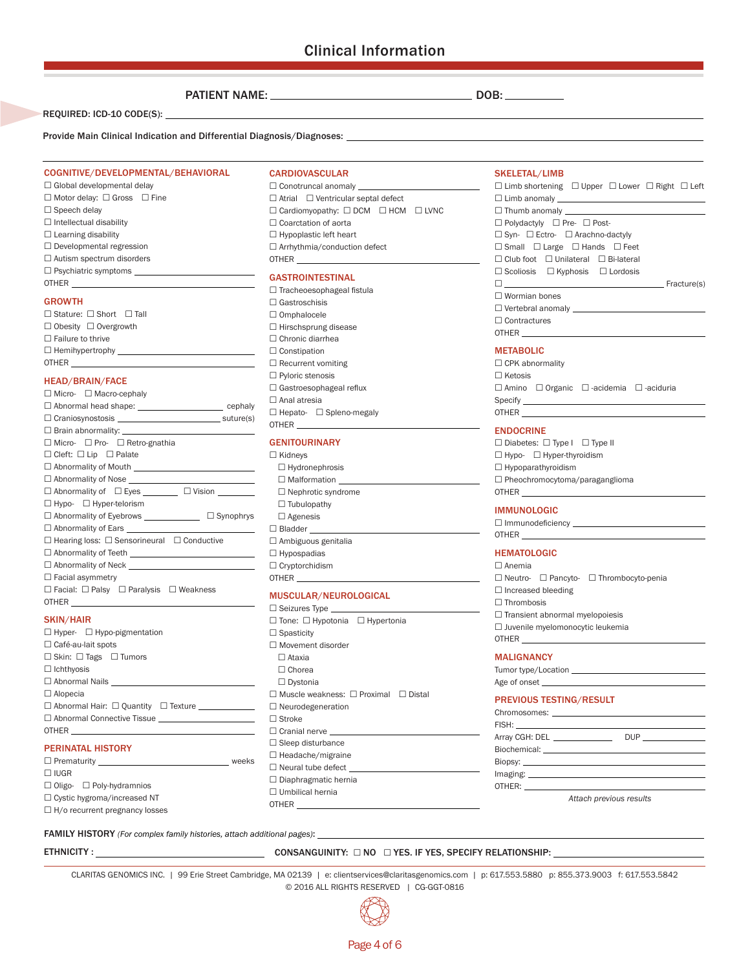PATIENT NAME: DOB:

REQUIRED: ICD-10 CODE(S):

Provide Main Clinical Indication and Differential Diagnosis/Diagnoses:

#### COGNITIVE/DEVELOPMENTAL/BEHAVIORAL

 $\square$  Global developmental delay  $\square$  Motor delay:  $\square$  Gross  $\square$  Fine  $\square$  Speech delay  $\square$  Intellectual disability  $\square$  Learning disability  $\square$  Developmental regression  $\square$  Autism spectrum disorders  $\square$  Psychiatric symptoms  $\square$ OTHER

### GROWTH

| $\Box$ Stature: $\Box$ Short $\Box$ Tall |  |
|------------------------------------------|--|
| $\Box$ Obesity $\Box$ Overgrowth         |  |
| $\Box$ Failure to thrive                 |  |
| $\Box$ Hemihypertrophy $\Box$            |  |
| <b>OTHER</b>                             |  |

#### HEAD/BRAIN/FACE

| □ Micro- □ Macro-cephaly                                      |  |
|---------------------------------------------------------------|--|
| □ Abnormal head shape: __________________________ cephaly     |  |
|                                                               |  |
|                                                               |  |
| □ Micro- □ Pro- □ Retro-gnathia                               |  |
| $\Box$ Cleft: $\Box$ Lip $\Box$ Palate                        |  |
|                                                               |  |
|                                                               |  |
| $\Box$ Abnormality of $\Box$ Eyes $\Box$ $\Box$ Vision $\Box$ |  |
| $\Box$ Hypo- $\Box$ Hyper-telorism                            |  |
| □ Abnormality of Eyebrows ____________________ □ Synophrys    |  |
|                                                               |  |
| $\Box$ Hearing loss: $\Box$ Sensorineural $\Box$ Conductive   |  |
|                                                               |  |
| $\Box$ Abnormality of Neck $\Box$                             |  |
| $\Box$ Facial asymmetry                                       |  |
| $\Box$ Facial: $\Box$ Palsy $\Box$ Paralysis $\Box$ Weakness  |  |
| OTHER <b>OTHER</b>                                            |  |
| <b>SKIN/HAIR</b>                                              |  |
| $\Box$ Hyper- $\Box$ Hypo-pigmentation                        |  |
|                                                               |  |

| $\Box$ Tryper- $\Box$ Trypo-pignentation                |       |
|---------------------------------------------------------|-------|
| $\Box$ Café-au-lait spots                               |       |
| $\Box$ Skin: $\Box$ Tags $\Box$ Tumors                  |       |
| $\Box$ Ichthyosis                                       |       |
| □ Abnormal Nails <u>_______________________________</u> |       |
| $\Box$ Alopecia                                         |       |
| □ Abnormal Hair: □ Quantity □ Texture ___________       |       |
| □ Abnormal Connective Tissue                            |       |
| OTHER <b>OTHER</b>                                      |       |
| <b>PERINATAL HISTORY</b>                                |       |
|                                                         |       |
|                                                         | weeks |

## £ IUGR

□ Oligo- □ Poly-hydramnios □ Cystic hygroma/increased NT  $\square$  H/o recurrent pregnancy losses

### **CARDIOVASCULAR**

 $\square$  Conotruncal anomaly  $\_$  $\Box$  Atrial  $\Box$  Ventricular septal defect  $\Box$  Cardiomyopathy:  $\Box$  DCM  $\Box$  HCM  $\Box$  LVNC  $\square$  Coarctation of aorta  $\square$  Hypoplastic left heart □ Arrhythmia/conduction defect OTHER

## GASTROINTESTINAL

 $\square$  Tracheoesophageal fistula  $\Box$  Gastroschisis □ Omphalocele  $\square$  Hirschsprung disease  $\square$  Chronic diarrhea  $\square$  Constipation  $\square$  Recurrent vomiting □ Pyloric stenosis  $\square$  Gastroesophageal reflux  $\square$  Anal atresia □ Hepato- □ Spleno-megaly OTHER

### GENITOURINARY

□ Kidneys  $\square$  Hydronephrosis  $\square$  Malformation □ Nephrotic syndrome  $\square$  Tubulopathy  $\square$  Agenesis  $\square$  Bladder £ Ambiguous genitalia  $\square$  Hypospadias  $\square$  Cryptorchidism OTHER

## MUSCULAR/NEUROLOGICAL

OTHER

 $\square$  Seizures Type \_ £ Tone: £ Hypotonia £ Hypertonia  $\square$  Spasticity  $\square$  Movement disorder  $\square$  Ataxia □ Chorea £ Dystonia  $\square$  Muscle weakness:  $\square$  Proximal  $\square$  Distal □ Neurodegeneration  $\Box$  Stroke  $\square$  Cranial nerve  $\square$  Sleep disturbance  $\square$  Headache/migraine □ Neural tube defect  $\square$  Diaphragmatic hernia  $\square$  Umbilical hernia

#### SKELETAL/LIMB

| $\Box$ Limb shortening $\Box$ Upper $\Box$ Lower $\Box$ Right $\Box$ Left |  |
|---------------------------------------------------------------------------|--|
|                                                                           |  |
|                                                                           |  |
| □ Polydactyly □ Pre- □ Post-                                              |  |
| $\Box$ Syn- $\Box$ Ectro- $\Box$ Arachno-dactyly                          |  |
| $\Box$ Small $\Box$ Large $\Box$ Hands $\Box$ Feet                        |  |
| $\Box$ Club foot $\Box$ Unilateral $\Box$ Bi-lateral                      |  |
| $\Box$ Scoliosis $\Box$ Kyphosis $\Box$ Lordosis                          |  |
| $\square$                                                                 |  |
| $\Box$ Wormian bones                                                      |  |
| $\Box$ Vertebral anomaly $\Box$                                           |  |
| $\Box$ Contractures                                                       |  |
| <b>OTHER</b>                                                              |  |

#### METABOLIC

| $\Box$ CPK abnormality |  |                                                               |  |
|------------------------|--|---------------------------------------------------------------|--|
| $\Box$ Ketosis         |  |                                                               |  |
|                        |  | $\Box$ Amino $\Box$ Organic $\Box$ -acidemia $\Box$ -aciduria |  |
|                        |  |                                                               |  |
| <b>OTHER</b>           |  |                                                               |  |

#### ENDOCRINE

 $\square$  Diabetes:  $\square$  Type I  $\square$  Type II □ Hypo- □ Hyper-thyroidism □ Hypoparathyroidism £ Pheochromocytoma/paraganglioma OTHER

#### IMMUNOLOGIC

| $\Box$ Immunodeficiency |  |
|-------------------------|--|
| <b>OTHER</b>            |  |

## **HEMATOLOGIC**

| $\Box$ Anemia                          |                                                         |  |  |
|----------------------------------------|---------------------------------------------------------|--|--|
|                                        | $\Box$ Neutro- $\Box$ Pancyto- $\Box$ Thrombocyto-penia |  |  |
| $\Box$ Increased bleeding              |                                                         |  |  |
| $\Box$ Thrombosis                      |                                                         |  |  |
| $\Box$ Transient abnormal myelopoiesis |                                                         |  |  |
| □ Juvenile myelomonocytic leukemia     |                                                         |  |  |
| OTHER                                  |                                                         |  |  |
|                                        |                                                         |  |  |

#### MALIGNANCY

| Tumor type/Location |  |
|---------------------|--|
| Age of onset        |  |

## PREVIOUS TESTING/RESULT

| Array CGH: DEL ______________ | DUP $\qquad$ |  |
|-------------------------------|--------------|--|
|                               |              |  |
|                               |              |  |
|                               |              |  |
|                               |              |  |
|                               |              |  |

*Attach previous results*

FAMILY HISTORY *(For complex family histories, attach additional pages)*:

ETHNICITY :

 $\_$  consanguinity:  $\Box$  no  $\Box$  yes. If yes, specify relationship:  $\_$ 

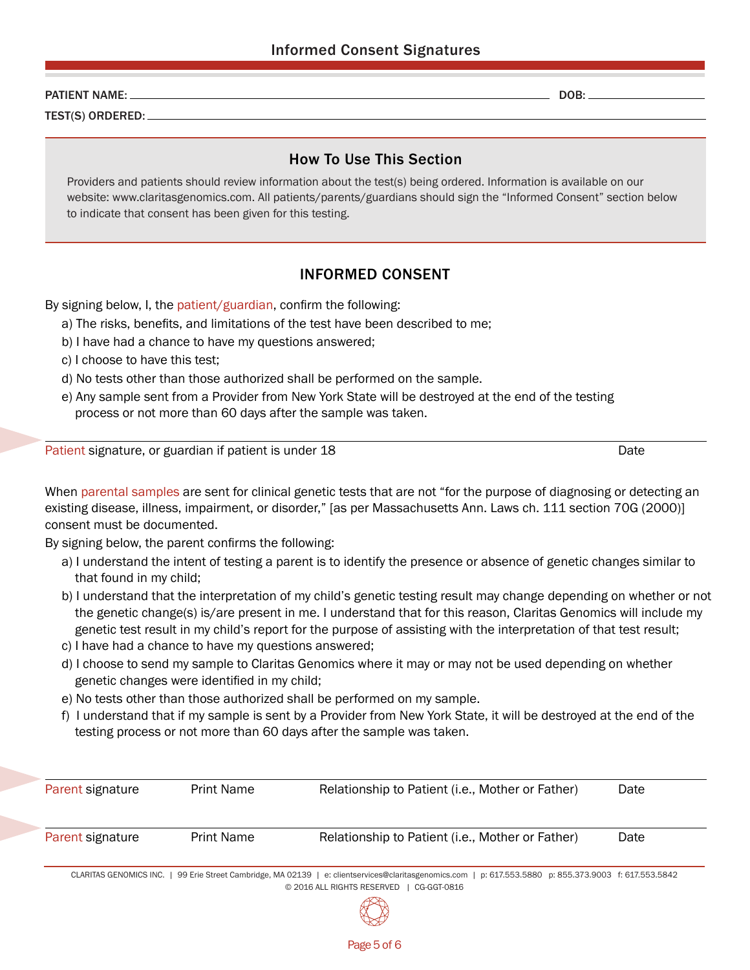## PATIENT NAME: DOB:

TEST(S) ORDERED:

## How To Use This Section

Providers and patients should review information about the test(s) being ordered. Information is available on our website: www.claritasgenomics.com. All patients/parents/guardians should sign the "Informed Consent" section below to indicate that consent has been given for this testing.

# INFORMED CONSENT

By signing below, I, the patient/guardian, confirm the following:

- a) The risks, benefits, and limitations of the test have been described to me;
- b) I have had a chance to have my questions answered;
- c) I choose to have this test;
- d) No tests other than those authorized shall be performed on the sample.
- e) Any sample sent from a Provider from New York State will be destroyed at the end of the testing process or not more than 60 days after the sample was taken.

Patient signature, or guardian if patient is under 18 Date Designation of the Date Date Date

When parental samples are sent for clinical genetic tests that are not "for the purpose of diagnosing or detecting an existing disease, illness, impairment, or disorder," [as per Massachusetts Ann. Laws ch. 111 section 70G (2000)] consent must be documented.

By signing below, the parent confirms the following:

- a) I understand the intent of testing a parent is to identify the presence or absence of genetic changes similar to that found in my child;
- b) I understand that the interpretation of my child's genetic testing result may change depending on whether or not the genetic change(s) is/are present in me. I understand that for this reason, Claritas Genomics will include my genetic test result in my child's report for the purpose of assisting with the interpretation of that test result;
- c) I have had a chance to have my questions answered;
- d) I choose to send my sample to Claritas Genomics where it may or may not be used depending on whether genetic changes were identified in my child;
- e) No tests other than those authorized shall be performed on my sample.
- f) I understand that if my sample is sent by a Provider from New York State, it will be destroyed at the end of the testing process or not more than 60 days after the sample was taken.

| Parent signature | <b>Print Name</b> | Relationship to Patient (i.e., Mother or Father)                                                                                                                                                    | Date |
|------------------|-------------------|-----------------------------------------------------------------------------------------------------------------------------------------------------------------------------------------------------|------|
| Parent signature | Print Name        | Relationship to Patient (i.e., Mother or Father)                                                                                                                                                    | Date |
|                  |                   | CLARITAS GENOMICS INC.   99 Erie Street Cambridge, MA 02139   e: clientservices@claritasgenomics.com   p: 617.553.5880 p: 855.373.9003 f: 617.553.5842<br>© 2016 ALL RIGHTS RESERVED<br>CG-GGT-0816 |      |

Page 5 of 6